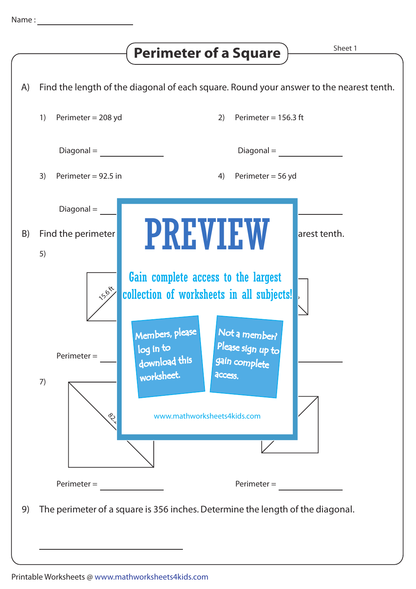A)